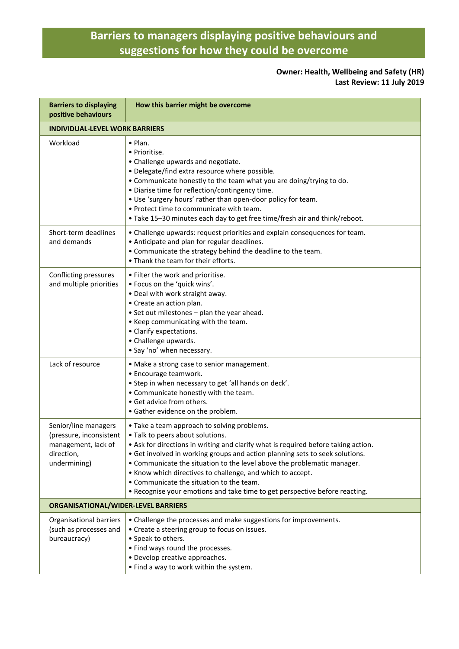## **Barriers to managers displaying positive behaviours and suggestions for how they could be overcome**

## **Owner: Health, Wellbeing and Safety (HR) Last Review: 11 July 2019**

| <b>Barriers to displaying</b><br>positive behaviours                                                 | How this barrier might be overcome                                                                                                                                                                                                                                                                                                                                                                                                                                                                                        |  |
|------------------------------------------------------------------------------------------------------|---------------------------------------------------------------------------------------------------------------------------------------------------------------------------------------------------------------------------------------------------------------------------------------------------------------------------------------------------------------------------------------------------------------------------------------------------------------------------------------------------------------------------|--|
| <b>INDIVIDUAL-LEVEL WORK BARRIERS</b>                                                                |                                                                                                                                                                                                                                                                                                                                                                                                                                                                                                                           |  |
| Workload                                                                                             | $\bullet$ Plan.<br>• Prioritise.<br>• Challenge upwards and negotiate.<br>• Delegate/find extra resource where possible.<br>. Communicate honestly to the team what you are doing/trying to do.<br>· Diarise time for reflection/contingency time.<br>. Use 'surgery hours' rather than open-door policy for team.<br>. Protect time to communicate with team.<br>. Take 15-30 minutes each day to get free time/fresh air and think/reboot.                                                                              |  |
| Short-term deadlines<br>and demands                                                                  | • Challenge upwards: request priorities and explain consequences for team.<br>• Anticipate and plan for regular deadlines.<br>• Communicate the strategy behind the deadline to the team.<br>• Thank the team for their efforts.                                                                                                                                                                                                                                                                                          |  |
| Conflicting pressures<br>and multiple priorities                                                     | • Filter the work and prioritise.<br>• Focus on the 'quick wins'.<br>• Deal with work straight away.<br>• Create an action plan.<br>• Set out milestones - plan the year ahead.<br>• Keep communicating with the team.<br>• Clarify expectations.<br>• Challenge upwards.<br>• Say 'no' when necessary.                                                                                                                                                                                                                   |  |
| Lack of resource                                                                                     | • Make a strong case to senior management.<br>• Encourage teamwork.<br>• Step in when necessary to get 'all hands on deck'.<br>• Communicate honestly with the team.<br>• Get advice from others.<br>• Gather evidence on the problem.                                                                                                                                                                                                                                                                                    |  |
| Senior/line managers<br>(pressure, inconsistent<br>management, lack of<br>direction,<br>undermining) | • Take a team approach to solving problems.<br>. Talk to peers about solutions.<br>• Ask for directions in writing and clarify what is required before taking action.<br>• Get involved in working groups and action planning sets to seek solutions.<br>• Communicate the situation to the level above the problematic manager.<br>• Know which directives to challenge, and which to accept.<br>• Communicate the situation to the team.<br>. Recognise your emotions and take time to get perspective before reacting. |  |
| ORGANISATIONAL/WIDER-LEVEL BARRIERS                                                                  |                                                                                                                                                                                                                                                                                                                                                                                                                                                                                                                           |  |
| Organisational barriers<br>(such as processes and<br>bureaucracy)                                    | • Challenge the processes and make suggestions for improvements.<br>• Create a steering group to focus on issues.<br>• Speak to others.<br>• Find ways round the processes.<br>• Develop creative approaches.<br>• Find a way to work within the system.                                                                                                                                                                                                                                                                  |  |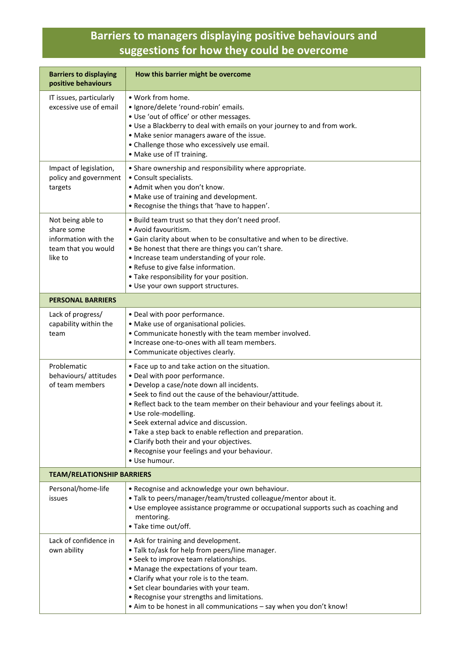## **Barriers to managers displaying positive behaviours and suggestions for how they could be overcome**

| <b>Barriers to displaying</b><br>positive behaviours                                      | How this barrier might be overcome                                                                                                                                                                                                                                                                                                                                                                                                                                                                                        |  |
|-------------------------------------------------------------------------------------------|---------------------------------------------------------------------------------------------------------------------------------------------------------------------------------------------------------------------------------------------------------------------------------------------------------------------------------------------------------------------------------------------------------------------------------------------------------------------------------------------------------------------------|--|
| IT issues, particularly<br>excessive use of email                                         | • Work from home.<br>· Ignore/delete 'round-robin' emails.<br>. Use 'out of office' or other messages.<br>. Use a Blackberry to deal with emails on your journey to and from work.<br>• Make senior managers aware of the issue.<br>• Challenge those who excessively use email.<br>• Make use of IT training.                                                                                                                                                                                                            |  |
| Impact of legislation,<br>policy and government<br>targets                                | • Share ownership and responsibility where appropriate.<br>• Consult specialists.<br>. Admit when you don't know.<br>• Make use of training and development.<br>. Recognise the things that 'have to happen'.                                                                                                                                                                                                                                                                                                             |  |
| Not being able to<br>share some<br>information with the<br>team that you would<br>like to | . Build team trust so that they don't need proof.<br>• Avoid favouritism.<br>. Gain clarity about when to be consultative and when to be directive.<br>• Be honest that there are things you can't share.<br>• Increase team understanding of your role.<br>• Refuse to give false information.<br>• Take responsibility for your position.<br>· Use your own support structures.                                                                                                                                         |  |
| <b>PERSONAL BARRIERS</b>                                                                  |                                                                                                                                                                                                                                                                                                                                                                                                                                                                                                                           |  |
| Lack of progress/<br>capability within the<br>team                                        | • Deal with poor performance.<br>• Make use of organisational policies.<br>• Communicate honestly with the team member involved.<br>. Increase one-to-ones with all team members.<br>• Communicate objectives clearly.                                                                                                                                                                                                                                                                                                    |  |
| Problematic<br>behaviours/ attitudes<br>of team members                                   | • Face up to and take action on the situation.<br>• Deal with poor performance.<br>· Develop a case/note down all incidents.<br>. Seek to find out the cause of the behaviour/attitude.<br>. Reflect back to the team member on their behaviour and your feelings about it.<br>· Use role-modelling.<br>• Seek external advice and discussion.<br>• Take a step back to enable reflection and preparation.<br>• Clarify both their and your objectives.<br>. Recognise your feelings and your behaviour.<br>• Use humour. |  |
| <b>TEAM/RELATIONSHIP BARRIERS</b>                                                         |                                                                                                                                                                                                                                                                                                                                                                                                                                                                                                                           |  |
| Personal/home-life<br>issues                                                              | . Recognise and acknowledge your own behaviour.<br>. Talk to peers/manager/team/trusted colleague/mentor about it.<br>• Use employee assistance programme or occupational supports such as coaching and<br>mentoring.<br>• Take time out/off.                                                                                                                                                                                                                                                                             |  |
| Lack of confidence in<br>own ability                                                      | • Ask for training and development.<br>. Talk to/ask for help from peers/line manager.<br>• Seek to improve team relationships.<br>• Manage the expectations of your team.<br>• Clarify what your role is to the team.<br>• Set clear boundaries with your team.<br>• Recognise your strengths and limitations.<br>• Aim to be honest in all communications - say when you don't know!                                                                                                                                    |  |